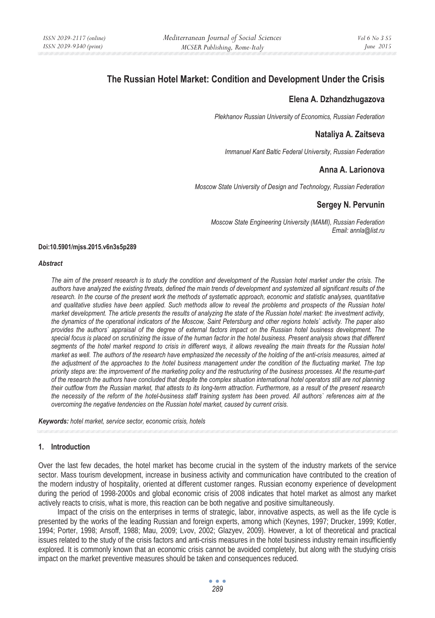# **The Russian Hotel Market: Condition and Development Under the Crisis**

## **Elena A. Dzhandzhugazova**

*Plekhanov Russian University of Economics, Russian Federation* 

# **Nataliya A. Zaitseva**

*Immanuel Kant Baltic Federal University, Russian Federation* 

# **Anna A. Larionova**

*Moscow State University of Design and Technology, Russian Federation* 

#### **Sergey N. Pervunin**

*Moscow State Engineering University (MAMI), Russian Federation Email: annla@list.ru* 

#### **Doi:10.5901/mjss.2015.v6n3s5p289**

#### *Abstract*

*The aim of the present research is to study the condition and development of the Russian hotel market under the crisis. The authors have analyzed the existing threats, defined the main trends of development and systemized all significant results of the research. In the course of the present work the methods of systematic approach, economic and statistic analyses, quantitative* and qualitative studies have been applied. Such methods allow to reveal the problems and prospects of the Russian hotel *market development. The article presents the results of analyzing the state of the Russian hotel market: the investment activity, the dynamics of the operational indicators of the Moscow, Saint Petersburg and other regions hotels` activity. The paper also provides the authors` appraisal of the degree of external factors impact on the Russian hotel business development. The special focus is placed on scrutinizing the issue of the human factor in the hotel business. Present analysis shows that different*  segments of the hotel market respond to crisis in different ways, it allows revealing the main threats for the Russian hotel *market as well. The authors of the research have emphasized the necessity of the holding of the anti-crisis measures, aimed at the adjustment of the approaches to the hotel business management under the condition of the fluctuating market. The top priority steps are: the improvement of the marketing policy and the restructuring of the business processes. At the resume-part of the research the authors have concluded that despite the complex situation international hotel operators still are not planning their outflow from the Russian market, that attests to its long-term attraction. Furthermore, as a result of the present research the necessity of the reform of the hotel-business staff training system has been proved. All authors` references aim at the overcoming the negative tendencies on the Russian hotel market, caused by current crisis.* 

*Keywords: hotel market, service sector, economic crisis, hotels* 

#### **1. Introduction**

Over the last few decades, the hotel market has become crucial in the system of the industry markets of the service sector. Mass tourism development, increase in business activity and communication have contributed to the creation of the modern industry of hospitality, oriented at different customer ranges. Russian economy experience of development during the period of 1998-2000s and global economic crisis of 2008 indicates that hotel market as almost any market actively reacts to crisis, what is more, this reaction can be both negative and positive simultaneously.

Impact of the crisis on the enterprises in terms of strategic, labor, innovative aspects, as well as the life cycle is presented by the works of the leading Russian and foreign experts, among which (Keynes, 1997; Drucker, 1999; Kotler, 1994; Porter, 1998; Ansoff, 1988; Mau, 2009; Lvov, 2002; Glazyev, 2009). However, a lot of theoretical and practical issues related to the study of the crisis factors and anti-crisis measures in the hotel business industry remain insufficiently explored. It is commonly known that an economic crisis cannot be avoided completely, but along with the studying crisis impact on the market preventive measures should be taken and consequences reduced.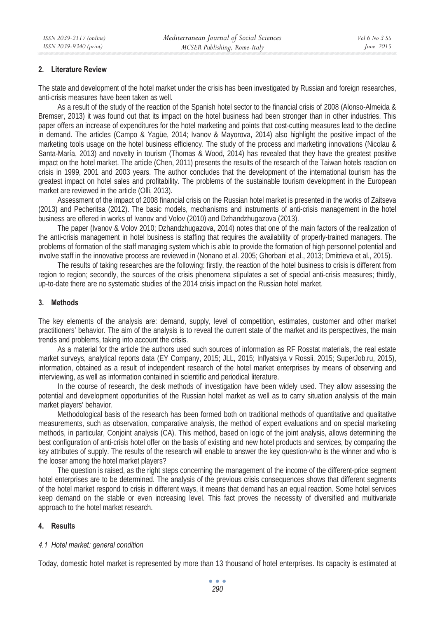## **2. Literature Review**

The state and development of the hotel market under the crisis has been investigated by Russian and foreign researches, anti-crisis measures have been taken as well.

As a result of the study of the reaction of the Spanish hotel sector to the financial crisis of 2008 (Alonso-Almeida & Bremser, 2013) it was found out that its impact on the hotel business had been stronger than in other industries. This paper offers an increase of expenditures for the hotel marketing and points that cost-cutting measures lead to the decline in demand. The articles (Campo & Yagüe, 2014; Ivanov & Mayorova, 2014) also highlight the positive impact of the marketing tools usage on the hotel business efficiency. The study of the process and marketing innovations (Nicolau & Santa-María, 2013) and novelty in tourism (Thomas & Wood, 2014) has revealed that they have the greatest positive impact on the hotel market. The article (Chen, 2011) presents the results of the research of the Taiwan hotels reaction on crisis in 1999, 2001 and 2003 years. The author concludes that the development of the international tourism has the greatest impact on hotel sales and profitability. The problems of the sustainable tourism development in the European market are reviewed in the article (Olli, 2013).

Assessment of the impact of 2008 financial crisis on the Russian hotel market is presented in the works of Zaitseva (2013) and Pecheritsa (2012). The basic models, mechanisms and instruments of anti-crisis management in the hotel business are offered in works of Ivanov and Volov (2010) and Dzhandzhugazova (2013).

The paper (Ivanov & Volov 2010; Dzhandzhugazova, 2014) notes that one of the main factors of the realization of the anti-crisis management in hotel business is staffing that requires the availability of properly-trained managers. The problems of formation of the staff managing system which is able to provide the formation of high personnel potential and involve staff in the innovative process are reviewed in (Nonano et al. 2005; Ghorbani et al., 2013; Dmitrieva et al., 2015).

The results of taking researches are the following: firstly, the reaction of the hotel business to crisis is different from region to region; secondly, the sources of the crisis phenomena stipulates a set of special anti-crisis measures; thirdly, up-to-date there are no systematic studies of the 2014 crisis impact on the Russian hotel market.

#### **3. Methods**

The key elements of the analysis are: demand, supply, level of competition, estimates, customer and other market practitioners' behavior. The aim of the analysis is to reveal the current state of the market and its perspectives, the main trends and problems, taking into account the crisis.

As a material for the article the authors used such sources of information as RF Rosstat materials, the real estate market surveys, analytical reports data (EY Company, 2015; JLL, 2015; Inflyatsiya v Rossii, 2015; SuperJob.ru, 2015), information, obtained as a result of independent research of the hotel market enterprises by means of observing and interviewing, as well as information contained in scientific and periodical literature.

In the course of research, the desk methods of investigation have been widely used. They allow assessing the potential and development opportunities of the Russian hotel market as well as to carry situation analysis of the main market players' behavior.

Methodological basis of the research has been formed both on traditional methods of quantitative and qualitative measurements, such as observation, comparative analysis, the method of expert evaluations and on special marketing methods, in particular, Conjoint analysis (CA). This method, based on logic of the joint analysis, allows determining the best configuration of anti-crisis hotel offer on the basis of existing and new hotel products and services, by comparing the key attributes of supply. The results of the research will enable to answer the key question-who is the winner and who is the looser among the hotel market players?

The question is raised, as the right steps concerning the management of the income of the different-price segment hotel enterprises are to be determined. The analysis of the previous crisis consequences shows that different segments of the hotel market respond to crisis in different ways, it means that demand has an equal reaction. Some hotel services keep demand on the stable or even increasing level. This fact proves the necessity of diversified and multivariate approach to the hotel market research.

# **4. Results**

#### *4.1 Hotel market: general condition*

Today, domestic hotel market is represented by more than 13 thousand of hotel enterprises. Its capacity is estimated at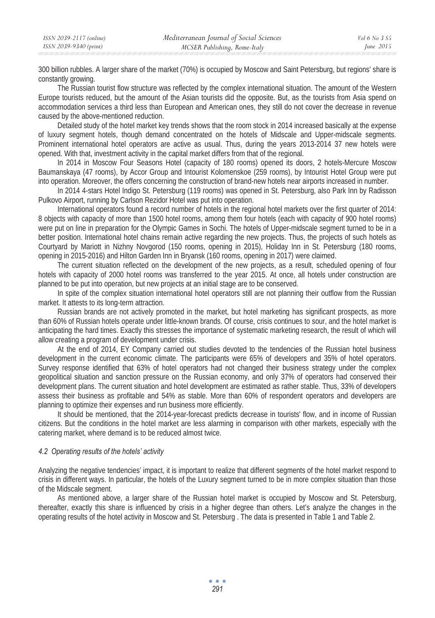300 billion rubbles. A larger share of the market (70%) is occupied by Moscow and Saint Petersburg, but regions' share is constantly growing.

The Russian tourist flow structure was reflected by the complex international situation. The amount of the Western Europe tourists reduced, but the amount of the Asian tourists did the opposite. But, as the tourists from Asia spend on accommodation services a third less than European and American ones, they still do not cover the decrease in revenue caused by the above-mentioned reduction.

Detailed study of the hotel market key trends shows that the room stock in 2014 increased basically at the expense of luxury segment hotels, though demand concentrated on the hotels of Midscale and Upper-midscale segments. Prominent international hotel operators are active as usual. Thus, during the years 2013-2014 37 new hotels were opened. With that, investment activity in the capital market differs from that of the regional.

In 2014 in Moscow Four Seasons Hotel (capacity of 180 rooms) opened its doors, 2 hotels-Mercure Moscow Baumanskaya (47 rooms), by Accor Group and Intourist Kolomenskoe (259 rooms), by Intourist Hotel Group were put into operation. Moreover, the offers concerning the construction of brand-new hotels near airports increased in number.

In 2014 4-stars Hotel Indigo St. Petersburg (119 rooms) was opened in St. Petersburg, also Park Inn by Radisson Pulkovo Airport, running by Carlson Rezidor Hotel was put into operation.

International operators found a record number of hotels in the regional hotel markets over the first quarter of 2014: 8 objects with capacity of more than 1500 hotel rooms, among them four hotels (each with capacity of 900 hotel rooms) were put on line in preparation for the Olympic Games in Sochi. The hotels of Upper-midscale segment turned to be in a better position. International hotel chains remain active regarding the new projects. Thus, the projects of such hotels as Courtyard by Mariott in Nizhny Novgorod (150 rooms, opening in 2015), Holiday Inn in St. Petersburg (180 rooms, opening in 2015-2016) and Hilton Garden Inn in Bryansk (160 rooms, opening in 2017) were claimed.

The current situation reflected on the development of the new projects, as a result, scheduled opening of four hotels with capacity of 2000 hotel rooms was transferred to the year 2015. At once, all hotels under construction are planned to be put into operation, but new projects at an initial stage are to be conserved.

In spite of the complex situation international hotel operators still are not planning their outflow from the Russian market. It attests to its long-term attraction.

Russian brands are not actively promoted in the market, but hotel marketing has significant prospects, as more than 60% of Russian hotels operate under little-known brands. Of course, crisis continues to sour, and the hotel market is anticipating the hard times. Exactly this stresses the importance of systematic marketing research, the result of which will allow creating a program of development under crisis.

At the end of 2014, EY Company carried out studies devoted to the tendencies of the Russian hotel business development in the current economic climate. The participants were 65% of developers and 35% of hotel operators. Survey response identified that 63% of hotel operators had not changed their business strategy under the complex geopolitical situation and sanction pressure on the Russian economy, and only 37% of operators had conserved their development plans. The current situation and hotel development are estimated as rather stable. Thus, 33% of developers assess their business as profitable and 54% as stable. More than 60% of respondent operators and developers are planning to optimize their expenses and run business more efficiently.

It should be mentioned, that the 2014-year-forecast predicts decrease in tourists' flow, and in income of Russian citizens. But the conditions in the hotel market are less alarming in comparison with other markets, especially with the catering market, where demand is to be reduced almost twice.

#### *4.2 Operating results of the hotels' activity*

Analyzing the negative tendencies' impact, it is important to realize that different segments of the hotel market respond to crisis in different ways. In particular, the hotels of the Luxury segment turned to be in more complex situation than those of the Midscale segment.

As mentioned above, a larger share of the Russian hotel market is occupied by Moscow and St. Petersburg, thereafter, exactly this share is influenced by crisis in a higher degree than others. Let's analyze the changes in the operating results of the hotel activity in Moscow and St. Petersburg . The data is presented in Table 1 and Table 2.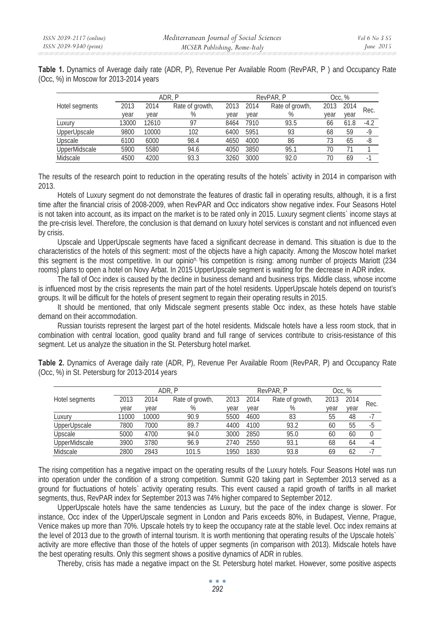|  |                                        |  |  |  |  |  |  | Table 1. Dynamics of Average daily rate (ADR, P), Revenue Per Available Room (RevPAR, P) and Occupancy Rate |  |
|--|----------------------------------------|--|--|--|--|--|--|-------------------------------------------------------------------------------------------------------------|--|
|  | (Occ, %) in Moscow for 2013-2014 years |  |  |  |  |  |  |                                                                                                             |  |

|                |       |       | ADR. P          |      |      | RevPAR, P       |      | Occ, % |        |
|----------------|-------|-------|-----------------|------|------|-----------------|------|--------|--------|
| Hotel segments | 2013  | 2014  | Rate of growth, | 2013 | 2014 | Rate of growth, | 2013 | 2014   | Rec.   |
|                | year  | vear  | %               | vear | vear | %               | year | year   |        |
| Luxury         | 13000 | 12610 | 97              | 8464 | 7910 | 93.5            | 66   | 61.8   | $-4.2$ |
| UpperUpscale   | 9800  | 10000 | 102             | 6400 | 5951 | 93              | 68   | 59     | $-9$   |
| Upscale        | 6100  | 6000  | 98.4            | 4650 | 4000 | 86              | 73   | 65     | -8     |
| UpperMidscale  | 5900  | 5580  | 94.6            | 4050 | 3850 | 95.1            | 70   |        |        |
| Midscale       | 4500  | 4200  | 93.3            | 3260 | 3000 | 92.0            | 70   | 69     | -      |

The results of the research point to reduction in the operating results of the hotels` activity in 2014 in comparison with 2013.

Hotels of Luxury segment do not demonstrate the features of drastic fall in operating results, although, it is a first time after the financial crisis of 2008-2009, when RevPAR and Occ indicators show negative index. Four Seasons Hotel is not taken into account, as its impact on the market is to be rated only in 2015. Luxury segment clients` income stays at the pre-crisis level. Therefore, the conclusion is that demand on luxury hotel services is constant and not influenced even by crisis.

Upscale and UpperUpscale segments have faced a significant decrease in demand. This situation is due to the characteristics of the hotels of this segment: most of the objects have a high capacity. Among the Moscow hotel market this segment is the most competitive. In our opinio<sup>n, th</sup>is competition is rising: among number of projects Mariott (234 rooms) plans to open a hotel on Novy Arbat. In 2015 UpperUpscale segment is waiting for the decrease in ADR index.

The fall of Occ index is caused by the decline in business demand and business trips. Middle class, whose income is influenced most by the crisis represents the main part of the hotel residents. UpperUpscale hotels depend on tourist's groups. It will be difficult for the hotels of present segment to regain their operating results in 2015.

It should be mentioned, that only Midscale segment presents stable Occ index, as these hotels have stable demand on their accommodation.

Russian tourists represent the largest part of the hotel residents. Midscale hotels have a less room stock, that in combination with central location, good quality brand and full range of services contribute to crisis-resistance of this segment. Let us analyze the situation in the St. Petersburg hotel market.

|                |       |       | ADR. P          |      |      | RevPAR, P       |      | Occ. $%$ |      |
|----------------|-------|-------|-----------------|------|------|-----------------|------|----------|------|
| Hotel segments | 2013  | 2014  | Rate of growth, | 2013 | 2014 | Rate of growth, | 2013 | 2014     | Rec. |
|                | vear  | vear  | %               | vear | vear | %               | vear | vear     |      |
| Luxury         | 11000 | 10000 | 90.9            | 5500 | 4600 | 83              | 55   | 48       |      |
| UpperUpscale   | 7800  | 7000  | 89.7            | 4400 | 4100 | 93.2            | 60   | 55       | $-5$ |
| Upscale        | 5000  | 4700  | 94.0            | 3000 | 2850 | 95.0            | 60   | 60       |      |
| UpperMidscale  | 3900  | 3780  | 96.9            | 2740 | 2550 | 93.1            | 68   | 64       | -4   |
| Midscale       | 2800  | 2843  | 101.5           | 1950 | 1830 | 93.8            | 69   | 62       |      |

Table 2. Dynamics of Average daily rate (ADR, P), Revenue Per Available Room (RevPAR, P) and Occupancy Rate (Occ, %) in St. Petersburg for 2013-2014 years

The rising competition has a negative impact on the operating results of the Luxury hotels. Four Seasons Hotel was run into operation under the condition of a strong competition. Summit G20 taking part in September 2013 served as a ground for fluctuations of hotels` activity operating results. This event caused a rapid growth of tariffs in all market segments, thus, RevPAR index for September 2013 was 74% higher compared to September 2012.

UpperUpscale hotels have the same tendencies as Luxury, but the pace of the index change is slower. For instance, Occ index of the UpperUpscale segment in London and Paris exceeds 80%, in Budapest, Vienne, Prague, Venice makes up more than 70%. Upscale hotels try to keep the occupancy rate at the stable level. Occ index remains at the level of 2013 due to the growth of internal tourism. It is worth mentioning that operating results of the Upscale hotels` activity are more effective than those of the hotels of upper segments (in comparison with 2013). Midscale hotels have the best operating results. Only this segment shows a positive dynamics of ADR in rubles.

Thereby, crisis has made a negative impact on the St. Petersburg hotel market. However, some positive aspects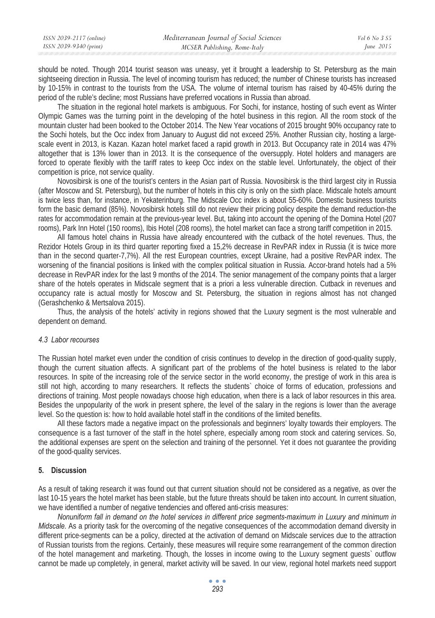| ISSN 2039-2117 (online) | Mediterranean Journal of Social Sciences | Vol 6 No 3 S5 |
|-------------------------|------------------------------------------|---------------|
| ISSN 2039-9340 (print)  | MCSER Publishing, Rome-Italy             | June $2015$   |

should be noted. Though 2014 tourist season was uneasy, yet it brought a leadership to St. Petersburg as the main sightseeing direction in Russia. The level of incoming tourism has reduced; the number of Chinese tourists has increased by 10-15% in contrast to the tourists from the USA. The volume of internal tourism has raised by 40-45% during the period of the ruble's decline; most Russians have preferred vocations in Russia than abroad.

The situation in the regional hotel markets is ambiguous. For Sochi, for instance, hosting of such event as Winter Olympic Games was the turning point in the developing of the hotel business in this region. All the room stock of the mountain cluster had been booked to the October 2014. The New Year vocations of 2015 brought 90% occupancy rate to the Sochi hotels, but the Occ index from January to August did not exceed 25%. Another Russian city, hosting a largescale event in 2013, is Kazan. Kazan hotel market faced a rapid growth in 2013. But Occupancy rate in 2014 was 47% altogether that is 13% lower than in 2013. It is the consequence of the oversupply. Hotel holders and managers are forced to operate flexibly with the tariff rates to keep Occ index on the stable level. Unfortunately, the object of their competition is price, not service quality.

Novosibirsk is one of the tourist's centers in the Asian part of Russia. Novosibirsk is the third largest city in Russia (after Moscow and St. Petersburg), but the number of hotels in this city is only on the sixth place. Midscale hotels amount is twice less than, for instance, in Yekaterinburg. The Midscale Occ index is about 55-60%. Domestic business tourists form the basic demand (85%). Novosibirsk hotels still do not review their pricing policy despite the demand reduction-the rates for accommodation remain at the previous-year level. But, taking into account the opening of the Domina Hotel (207 rooms), Park Inn Hotel (150 rooms), Ibis Hotel (208 rooms), the hotel market can face a strong tariff competition in 2015.

All famous hotel chains in Russia have already encountered with the cutback of the hotel revenues. Thus, the Rezidor Hotels Group in its third quarter reporting fixed a 15,2% decrease in RevPAR index in Russia (it is twice more than in the second quarter-7,7%). All the rest European countries, except Ukraine, had a positive RevPAR index. The worsening of the financial positions is linked with the complex political situation in Russia. Accor-brand hotels had a 5% decrease in RevPAR index for the last 9 months of the 2014. The senior management of the company points that a larger share of the hotels operates in Midscale segment that is a priori a less vulnerable direction. Cutback in revenues and occupancy rate is actual mostly for Moscow and St. Petersburg, the situation in regions almost has not changed (Gerashchenko & Mertsalova 2015).

Thus, the analysis of the hotels' activity in regions showed that the Luxury segment is the most vulnerable and dependent on demand.

#### *4.3 Labor recourses*

The Russian hotel market even under the condition of crisis continues to develop in the direction of good-quality supply, though the current situation affects. A significant part of the problems of the hotel business is related to the labor resources. In spite of the increasing role of the service sector in the world economy, the prestige of work in this area is still not high, according to many researchers. It reflects the students` choice of forms of education, professions and directions of training. Most people nowadays choose high education, when there is a lack of labor resources in this area. Besides the unpopularity of the work in present sphere, the level of the salary in the regions is lower than the average level. So the question is: how to hold available hotel staff in the conditions of the limited benefits.

All these factors made a negative impact on the professionals and beginners' loyalty towards their employers. The consequence is a fast turnover of the staff in the hotel sphere, especially among room stock and catering services. So, the additional expenses are spent on the selection and training of the personnel. Yet it does not guarantee the providing of the good-quality services.

#### **5. Discussion**

As a result of taking research it was found out that current situation should not be considered as a negative, as over the last 10-15 years the hotel market has been stable, but the future threats should be taken into account. In current situation, we have identified a number of negative tendencies and offered anti-crisis measures:

*Nonuniform fall in demand on the hotel services in different price segments-maximum in Luxury and minimum in Midscale.* As a priority task for the overcoming of the negative consequences of the accommodation demand diversity in different price-segments can be a policy, directed at the activation of demand on Midscale services due to the attraction of Russian tourists from the regions. Certainly, these measures will require some rearrangement of the common direction of the hotel management and marketing. Though, the losses in income owing to the Luxury segment guests` outflow cannot be made up completely, in general, market activity will be saved. In our view, regional hotel markets need support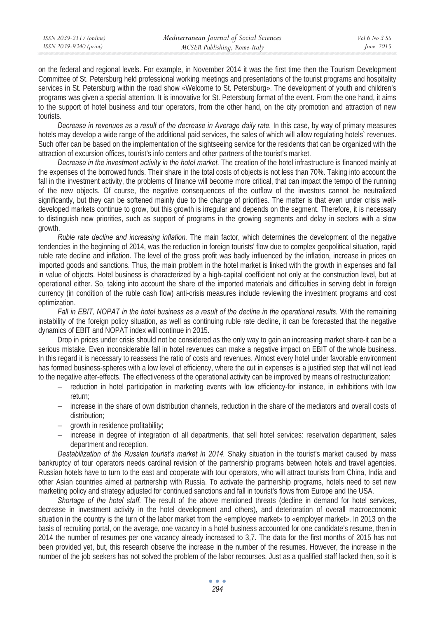on the federal and regional levels. For example, in November 2014 it was the first time then the Tourism Development Committee of St. Petersburg held professional working meetings and presentations of the tourist programs and hospitality services in St. Petersburg within the road show «Welcome to St. Petersburg». The development of youth and children's programs was given a special attention. It is innovative for St. Petersburg format of the event. From the one hand, it aims to the support of hotel business and tour operators, from the other hand, on the city promotion and attraction of new tourists.

*Decrease in revenues as a result of the decrease in Average daily rate.* In this case, by way of primary measures hotels may develop a wide range of the additional paid services, the sales of which will allow regulating hotels` revenues. Such offer can be based on the implementation of the sightseeing service for the residents that can be organized with the attraction of excursion offices, tourist's info centers and other partners of the tourist's market.

*Decrease in the investment activity in the hotel market.* The creation of the hotel infrastructure is financed mainly at the expenses of the borrowed funds. Their share in the total costs of objects is not less than 70%. Taking into account the fall in the investment activity, the problems of finance will become more critical, that can impact the tempo of the running of the new objects. Of course, the negative consequences of the outflow of the investors cannot be neutralized significantly, but they can be softened mainly due to the change of priorities. The matter is that even under crisis welldeveloped markets continue to grow, but this growth is irregular and depends on the segment. Therefore, it is necessary to distinguish new priorities, such as support of programs in the growing segments and delay in sectors with a slow growth.

*Ruble rate decline and increasing inflation.* The main factor, which determines the development of the negative tendencies in the beginning of 2014, was the reduction in foreign tourists' flow due to complex geopolitical situation, rapid ruble rate decline and inflation. The level of the gross profit was badly influenced by the inflation, increase in prices on imported goods and sanctions. Thus, the main problem in the hotel market is linked with the growth in expenses and fall in value of objects. Hotel business is characterized by a high-capital coefficient not only at the construction level, but at operational either. So, taking into account the share of the imported materials and difficulties in serving debt in foreign currency (in condition of the ruble cash flow) anti-crisis measures include reviewing the investment programs and cost optimization.

Fall in EBIT, NOPAT in the hotel business as a result of the decline in the operational results. With the remaining instability of the foreign policy situation, as well as continuing ruble rate decline, it can be forecasted that the negative dynamics of EBIT and NOPAT index will continue in 2015.

Drop in prices under crisis should not be considered as the only way to gain an increasing market share-it can be a serious mistake. Even inconsiderable fall in hotel revenues can make a negative impact on EBIT of the whole business. In this regard it is necessary to reassess the ratio of costs and revenues. Almost every hotel under favorable environment has formed business-spheres with a low level of efficiency, where the cut in expenses is a justified step that will not lead to the negative after-effects. The effectiveness of the operational activity can be improved by means of restructurization:

- − reduction in hotel participation in marketing events with low efficiency-for instance, in exhibitions with low return;
- − increase in the share of own distribution channels, reduction in the share of the mediators and overall costs of distribution;
- − growth in residence profitability;
- − increase in degree of integration of all departments, that sell hotel services: reservation department, sales department and reception.

*Destabilization of the Russian tourist's market in 2014.* Shaky situation in the tourist's market caused by mass bankruptcy of tour operators needs cardinal revision of the partnership programs between hotels and travel agencies. Russian hotels have to turn to the east and cooperate with tour operators, who will attract tourists from China, India and other Asian countries aimed at partnership with Russia. To activate the partnership programs, hotels need to set new marketing policy and strategy adjusted for continued sanctions and fall in tourist's flows from Europe and the USA.

*Shortage of the hotel staff.* The result of the above mentioned threats (decline in demand for hotel services, decrease in investment activity in the hotel development and others), and deterioration of overall macroeconomic situation in the country is the turn of the labor market from the «employee market» to «employer market». In 2013 on the basis of recruiting portal, on the average, one vacancy in a hotel business accounted for one candidate's resume, then in 2014 the number of resumes per one vacancy already increased to 3,7. The data for the first months of 2015 has not been provided yet, but, this research observe the increase in the number of the resumes. However, the increase in the number of the job seekers has not solved the problem of the labor recourses. Just as a qualified staff lacked then, so it is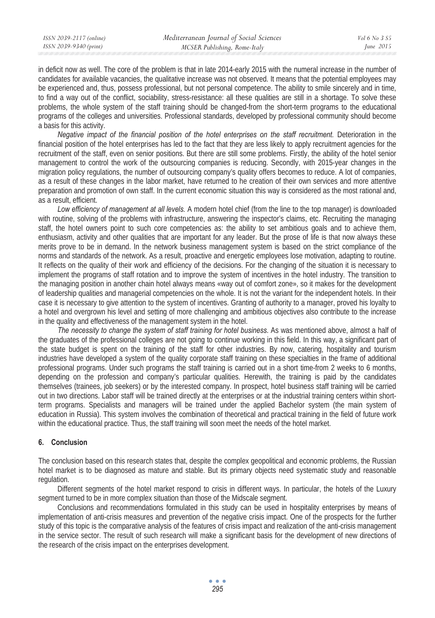| ISSN 2039-2117 (online) | Mediterranean Journal of Social Sciences | Vol 6 No.3 S5 |
|-------------------------|------------------------------------------|---------------|
| ISSN 2039-9340 (print)  | MCSER Publishing, Rome-Italy             | June $2015$   |
|                         |                                          |               |

in deficit now as well. The core of the problem is that in late 2014-early 2015 with the numeral increase in the number of candidates for available vacancies, the qualitative increase was not observed. It means that the potential employees may be experienced and, thus, possess professional, but not personal competence. The ability to smile sincerely and in time, to find a way out of the conflict, sociability, stress-resistance: all these qualities are still in a shortage. To solve these problems, the whole system of the staff training should be changed-from the short-term programs to the educational programs of the colleges and universities. Professional standards, developed by professional community should become a basis for this activity.

*Negative impact of the financial position of the hotel enterprises on the staff recruitment.* Deterioration in the financial position of the hotel enterprises has led to the fact that they are less likely to apply recruitment agencies for the recruitment of the staff, even on senior positions. But there are still some problems. Firstly, the ability of the hotel senior management to control the work of the outsourcing companies is reducing. Secondly, with 2015-year changes in the migration policy regulations, the number of outsourcing company's quality offers becomes to reduce. A lot of companies, as a result of these changes in the labor market, have returned to he creation of their own services and more attentive preparation and promotion of own staff. In the current economic situation this way is considered as the most rational and, as a result, efficient.

*Low efficiency of management at all levels.* A modern hotel chief (from the line to the top manager) is downloaded with routine, solving of the problems with infrastructure, answering the inspector's claims, etc. Recruiting the managing staff, the hotel owners point to such core competencies as: the ability to set ambitious goals and to achieve them, enthusiasm, activity and other qualities that are important for any leader. But the prose of life is that now always these merits prove to be in demand. In the network business management system is based on the strict compliance of the norms and standards of the network. As a result, proactive and energetic employees lose motivation, adapting to routine. It reflects on the quality of their work and efficiency of the decisions. For the changing of the situation it is necessary to implement the programs of staff rotation and to improve the system of incentives in the hotel industry. The transition to the managing position in another chain hotel always means «way out of comfort zone», so it makes for the development of leadership qualities and managerial competencies on the whole. It is not the variant for the independent hotels. In their case it is necessary to give attention to the system of incentives. Granting of authority to a manager, proved his loyalty to a hotel and overgrown his level and setting of more challenging and ambitious objectives also contribute to the increase in the quality and effectiveness of the management system in the hotel.

*The necessity to change the system of staff training for hotel business.* As was mentioned above, almost a half of the graduates of the professional colleges are not going to continue working in this field. In this way, a significant part of the state budget is spent on the training of the staff for other industries. By now, catering, hospitality and tourism industries have developed a system of the quality corporate staff training on these specialties in the frame of additional professional programs. Under such programs the staff training is carried out in a short time-from 2 weeks to 6 months, depending on the profession and company's particular qualities. Herewith, the training is paid by the candidates themselves (trainees, job seekers) or by the interested company. In prospect, hotel business staff training will be carried out in two directions. Labor staff will be trained directly at the enterprises or at the industrial training centers within shortterm programs. Specialists and managers will be trained under the applied Bachelor system (the main system of education in Russia). This system involves the combination of theoretical and practical training in the field of future work within the educational practice. Thus, the staff training will soon meet the needs of the hotel market.

### **6. Conclusion**

The conclusion based on this research states that, despite the complex geopolitical and economic problems, the Russian hotel market is to be diagnosed as mature and stable. But its primary objects need systematic study and reasonable regulation.

Different segments of the hotel market respond to crisis in different ways. In particular, the hotels of the Luxury segment turned to be in more complex situation than those of the Midscale segment.

Conclusions and recommendations formulated in this study can be used in hospitality enterprises by means of implementation of anti-crisis measures and prevention of the negative crisis impact. One of the prospects for the further study of this topic is the comparative analysis of the features of crisis impact and realization of the anti-crisis management in the service sector. The result of such research will make a significant basis for the development of new directions of the research of the crisis impact on the enterprises development.